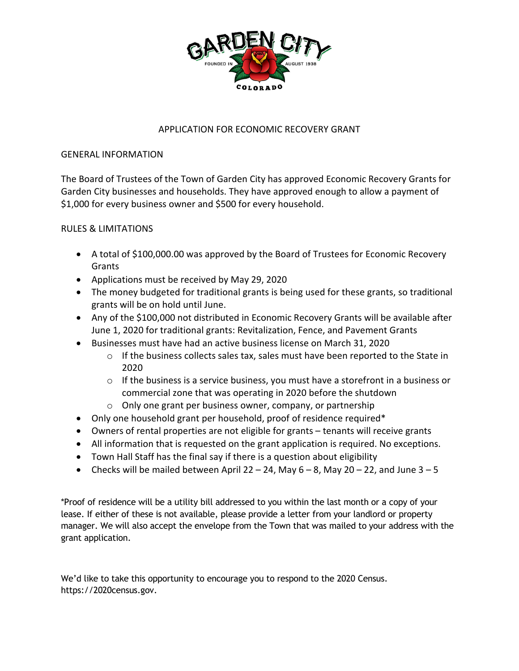

## APPLICATION FOR ECONOMIC RECOVERY GRANT

## GENERAL INFORMATION

The Board of Trustees of the Town of Garden City has approved Economic Recovery Grants for Garden City businesses and households. They have approved enough to allow a payment of \$1,000 for every business owner and \$500 for every household.

## RULES & LIMITATIONS

- A total of \$100,000.00 was approved by the Board of Trustees for Economic Recovery Grants
- Applications must be received by May 29, 2020
- The money budgeted for traditional grants is being used for these grants, so traditional grants will be on hold until June.
- Any of the \$100,000 not distributed in Economic Recovery Grants will be available after June 1, 2020 for traditional grants: Revitalization, Fence, and Pavement Grants
- Businesses must have had an active business license on March 31, 2020
	- $\circ$  If the business collects sales tax, sales must have been reported to the State in 2020
	- $\circ$  If the business is a service business, you must have a storefront in a business or commercial zone that was operating in 2020 before the shutdown
	- o Only one grant per business owner, company, or partnership
- Only one household grant per household, proof of residence required\*
- Owners of rental properties are not eligible for grants tenants will receive grants
- All information that is requested on the grant application is required. No exceptions.
- Town Hall Staff has the final say if there is a question about eligibility
- Checks will be mailed between April 22 24, May  $6-8$ , May  $20-22$ , and June  $3-5$

\*Proof of residence will be a utility bill addressed to you within the last month or a copy of your lease. If either of these is not available, please provide a letter from your landlord or property manager. We will also accept the envelope from the Town that was mailed to your address with the grant application.

We'd like to take this opportunity to encourage you to respond to the 2020 Census. https://2020census.gov.